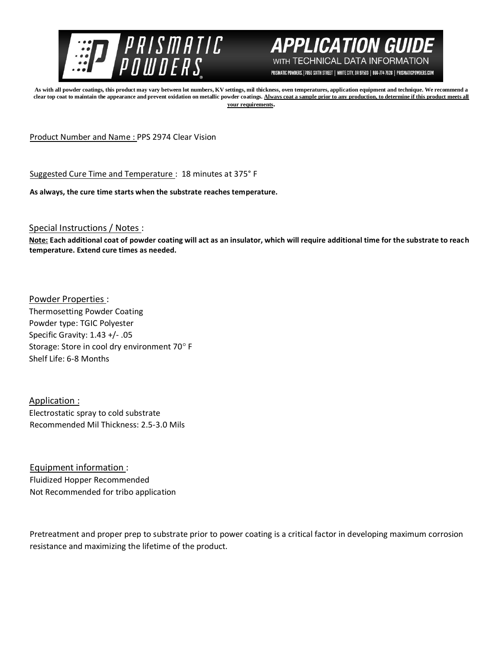



PRISMATIC POWDERS. | 7050 SIXTH STREET | WHITE CITY, OR 97503 | 866-774-7628 | PRISMATICPOWDERS.COM

**As with all powder coatings, this product may vary between lot numbers, KV settings, mil thickness, oven temperatures, application equipment and technique. We recommend a**  clear top coat to maintain the appearance and prevent oxidation on metallic powder coatings. Always coat a sample prior to any production, to determine if this product meets all **your requirements.** 

Product Number and Name : PPS 2974 Clear Vision

Suggested Cure Time and Temperature : 18 minutes at 375° F

**As always, the cure time starts when the substrate reaches temperature.**

Special Instructions / Notes :

**Note: Each additional coat of powder coating will act as an insulator, which will require additional time for the substrate to reach temperature. Extend cure times as needed.** 

Powder Properties : Thermosetting Powder Coating Powder type: TGIC Polyester Specific Gravity: 1.43 +/- .05 Storage: Store in cool dry environment 70° F Shelf Life: 6-8 Months

Application : Electrostatic spray to cold substrate Recommended Mil Thickness: 2.5-3.0 Mils

Equipment information : Fluidized Hopper Recommended Not Recommended for tribo application

Pretreatment and proper prep to substrate prior to power coating is a critical factor in developing maximum corrosion resistance and maximizing the lifetime of the product.